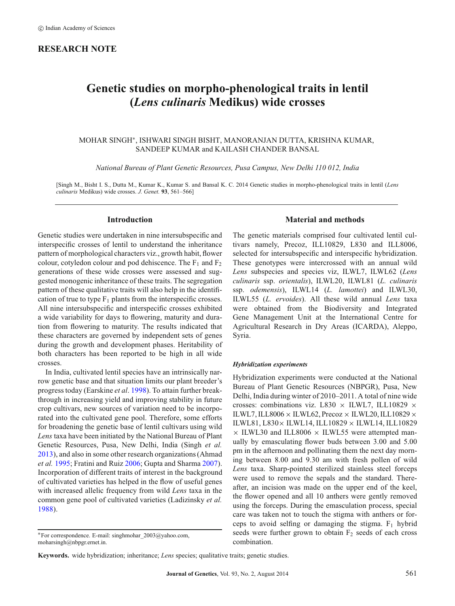# **RESEARCH NOTE**

# **Genetic studies on morpho-phenological traits in lentil (***Lens culinaris* **Medikus) wide crosses**

## MOHAR SINGH∗, ISHWARI SINGH BISHT, MANORANJAN DUTTA, KRISHNA KUMAR, SANDEEP KUMAR and KAILASH CHANDER BANSAL

*National Bureau of Plant Genetic Resources, Pusa Campus, New Delhi 110 012, India*

[Singh M., Bisht I. S., Dutta M., Kumar K., Kumar S. and Bansal K. C. 2014 Genetic studies in morpho-phenological traits in lentil (*Lens culinaris* Medikus) wide crosses. *J. Genet.* **93**, 561–566]

## **Introduction**

Genetic studies were undertaken in nine intersubspecific and interspecific crosses of lentil to understand the inheritance pattern of morphological characters viz., growth habit, flower colour, cotyledon colour and pod dehiscence. The  $F_1$  and  $F_2$ generations of these wide crosses were assessed and suggested monogenic inheritance of these traits. The segregation pattern of these qualitative traits will also help in the identification of true to type  $F_1$  plants from the interspecific crosses. All nine intersubspecific and interspecific crosses exhibited a wide variability for days to flowering, maturity and duration from flowering to maturity. The results indicated that these characters are governed by independent sets of genes during the growth and development phases. Heritability of both characters has been reported to be high in all wide crosses.

In India, cultivated lentil species have an intrinsically narrow genetic base and that situation limits our plant breeder's progress today (Earskine *et al*. [1998\)](#page-5-0). To attain further breakthrough in increasing yield and improving stability in future crop cultivars, new sources of variation need to be incorporated into the cultivated gene pool. Therefore, some efforts for broadening the genetic base of lentil cultivars using wild *Lens* taxa have been initiated by the National Bureau of Plant Genetic Resources, Pusa, New Delhi, India (Singh *et al.* [2013\)](#page-5-1), and also in some other research organizations (Ahmad *et al.* [1995;](#page-5-2) Fratini and Ruiz [2006;](#page-5-3) Gupta and Sharma [2007\)](#page-5-4). Incorporation of different traits of interest in the background of cultivated varieties has helped in the flow of useful genes with increased allelic frequency from wild *Lens* taxa in the common gene pool of cultivated varieties (Ladizinsky *et al.* [1988\)](#page-5-5).

**Keywords.** wide hybridization; inheritance; *Lens* species; qualitative traits; genetic studies.

# **Material and methods**

The genetic materials comprised four cultivated lentil cultivars namely, Precoz, ILL10829, L830 and ILL8006, selected for intersubspecific and interspecific hybridization. These genotypes were intercrossed with an annual wild *Lens* subspecies and species viz, ILWL7, ILWL62 (*Lens culinaris* ssp. *orientalis*), ILWL20, ILWL81 (*L. culinaris* ssp. *odemensis*), ILWL14 (*L. lamottei*) and ILWL30, ILWL55 (*L. ervoides*). All these wild annual *Lens* taxa were obtained from the Biodiversity and Integrated Gene Management Unit at the International Centre for Agricultural Research in Dry Areas (ICARDA), Aleppo, Syria.

#### *Hybridization experiments*

Hybridization experiments were conducted at the National Bureau of Plant Genetic Resources (NBPGR), Pusa, New Delhi, India during winter of 2010–2011. A total of nine wide crosses: combinations viz. L830  $\times$  ILWL7, ILL10829  $\times$ ILWL7, ILL8006  $\times$  ILWL62, Precoz  $\times$  ILWL20, ILL10829  $\times$ ILWL81, L830× ILWL14, ILL10829 × ILWL14, ILL10829  $\times$  ILWL30 and ILL8006  $\times$  ILWL55 were attempted manually by emasculating flower buds between 3.00 and 5.00 pm in the afternoon and pollinating them the next day morning between 8.00 and 9.30 am with fresh pollen of wild *Lens* taxa. Sharp-pointed sterilized stainless steel forceps were used to remove the sepals and the standard. Thereafter, an incision was made on the upper end of the keel, the flower opened and all 10 anthers were gently removed using the forceps. During the emasculation process, special care was taken not to touch the stigma with anthers or forceps to avoid selfing or damaging the stigma.  $F_1$  hybrid seeds were further grown to obtain  $F_2$  seeds of each cross combination.

<sup>∗</sup>For correspondence. E-mail: singhmohar\_2003@yahoo.com, moharsingh@nbpgr.ernet.in.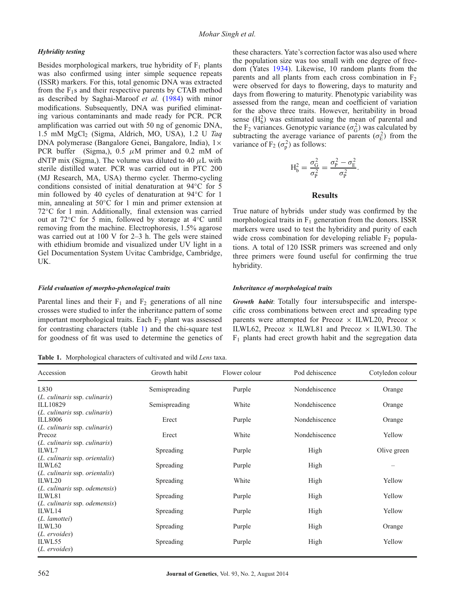## *Hybridity testing*

Besides morphological markers, true hybridity of  $F_1$  plants was also confirmed using inter simple sequence repeats (ISSR) markers. For this, total genomic DNA was extracted from the  $F_1$ s and their respective parents by CTAB method as described by Saghai-Maroof *et al.* [\(1984\)](#page-5-6) with minor modifications. Subsequently, DNA was purified eliminating various contaminants and made ready for PCR. PCR amplification was carried out with 50 ng of genomic DNA, 1.5 mM MgCl2 (Sigma, Aldrich, MO, USA), 1.2 U *Taq* DNA polymerase (Bangalore Genei, Bangalore, India),  $1 \times$ PCR buffer (Sigma,), 0.5  $\mu$ M primer and 0.2 mM of dNTP mix (Sigma,). The volume was diluted to 40  $\mu$ L with sterile distilled water. PCR was carried out in PTC 200 (MJ Research, MA, USA) thermo cycler. Thermo-cycling conditions consisted of initial denaturation at 94◦C for 5 min followed by 40 cycles of denaturation at 94◦C for 1 min, annealing at 50◦C for 1 min and primer extension at 72◦C for 1 min. Additionally, final extension was carried out at 72◦C for 5 min, followed by storage at 4◦C until removing from the machine. Electrophoresis, 1.5% agarose was carried out at 100 V for 2–3 h. The gels were stained with ethidium bromide and visualized under UV light in a Gel Documentation System Uvitac Cambridge, Cambridge, UK.

#### *Field evaluation of morpho-phenological traits*

Parental lines and their  $F_1$  and  $F_2$  generations of all nine crosses were studied to infer the inheritance pattern of some important morphological traits. Each  $F_2$  plant was assessed for contrasting characters (table [1\)](#page-1-0) and the chi-square test for goodness of fit was used to determine the genetics of

<span id="page-1-0"></span>**Table 1.** Morphological characters of cultivated and wild *Lens* taxa.

these characters. Yate's correction factor was also used where the population size was too small with one degree of freedom (Yates [1934\)](#page-5-7). Likewise, 10 random plants from the parents and all plants from each cross combination in  $F_2$ were observed for days to flowering, days to maturity and days from flowering to maturity. Phenotypic variability was assessed from the range, mean and coefficient of variation for the above three traits. However, heritability in broad sense  $(H_b^2)$  was estimated using the mean of parental and the F<sub>2</sub> variances. Genotypic variance ( $\sigma_G^2$ ) was calculated by subtracting the average variance of parents ( $\sigma_{\rm E}^2$ ) from the variance of  $F_2(\sigma_p^2)$  as follows:

$$
H_b^2 = \frac{\sigma_G^2}{\sigma_P^2} = \frac{\sigma_P^2 - \sigma_E^2}{\sigma_P^2}.
$$

#### **Results**

True nature of hybrids under study was confirmed by the morphological traits in  $F_1$  generation from the donors. ISSR markers were used to test the hybridity and purity of each wide cross combination for developing reliable  $F_2$  populations. A total of 120 ISSR primers was screened and only three primers were found useful for confirming the true hybridity.

#### *Inheritance of morphological traits*

*Growth habit*: Totally four intersubspecific and interspecific cross combinations between erect and spreading type parents were attempted for Precoz  $\times$  ILWL20, Precoz  $\times$ ILWL62, Precoz  $\times$  ILWL81 and Precoz  $\times$  ILWL30. The  $F_1$  plants had erect growth habit and the segregation data

| Accession                                  | Growth habit  | Flower colour | Pod dehiscence | Cotyledon colour |
|--------------------------------------------|---------------|---------------|----------------|------------------|
| L830                                       | Semispreading | Purple        | Nondehiscence  | Orange           |
| (L. culinaris ssp. culinaris)              |               |               |                |                  |
| ILL10829                                   | Semispreading | White         | Nondehiscence  | Orange           |
| $(L.$ culinaris ssp. culinaris)<br>ILL8006 | Erect         | Purple        | Nondehiscence  | Orange           |
| ( <i>L. culinaris ssp. culinaris</i> )     |               |               |                |                  |
| Precoz                                     | Erect         | White         | Nondehiscence  | Yellow           |
| $(L.$ culinaris ssp. culinaris)            |               |               |                |                  |
| ILWL7                                      | Spreading     | Purple        | High           | Olive green      |
| ( <i>L. culinaris ssp. orientalis</i> )    |               |               |                |                  |
| ILWL62                                     | Spreading     | Purple        | High           |                  |
| ( <i>L. culinaris ssp. orientalis</i> )    |               |               |                |                  |
| ILWL20                                     | Spreading     | White         | High           | Yellow           |
| ( <i>L. culinaris ssp. odemensis</i> )     |               |               |                |                  |
| ILWL81                                     | Spreading     | Purple        | High           | Yellow           |
| ( <i>L. culinaris ssp. odemensis</i> )     |               |               |                |                  |
| ILWL14                                     | Spreading     | Purple        | High           | Yellow           |
| (L. lamottei)                              |               |               |                |                  |
| ILWL30                                     | Spreading     | Purple        | High           | Orange           |
| ( <i>L. ervoides</i> )                     |               |               |                |                  |
| ILWL55                                     | Spreading     | Purple        | High           | Yellow           |
| ( <i>L. ervoides</i> )                     |               |               |                |                  |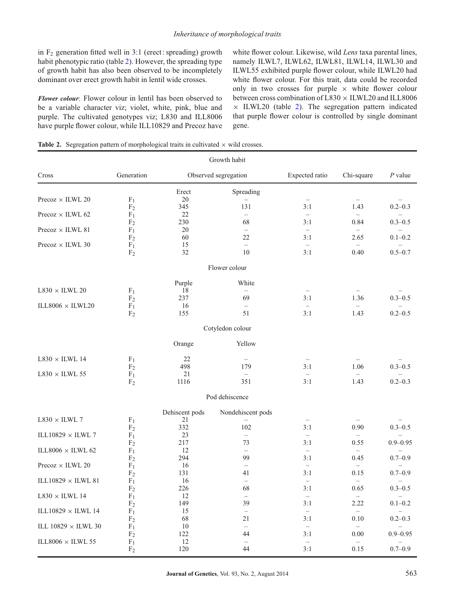in  $F_2$  generation fitted well in 3:1 (erect : spreading) growth habit phenotypic ratio (table [2\)](#page-2-0). However, the spreading type of growth habit has also been observed to be incompletely dominant over erect growth habit in lentil wide crosses.

*Flower colour*: Flower colour in lentil has been observed to be a variable character viz; violet, white, pink, blue and purple. The cultivated genotypes viz; L830 and ILL8006 have purple flower colour, while ILL10829 and Precoz have white flower colour. Likewise, wild *Lens* taxa parental lines, namely ILWL7, ILWL62, ILWL81, ILWL14, ILWL30 and ILWL55 exhibited purple flower colour, while ILWL20 had white flower colour. For this trait, data could be recorded only in two crosses for purple  $\times$  white flower colour between cross combination of  $L830 \times ILWL20$  and ILL8006  $\times$  ILWL20 (table [2\)](#page-2-0). The segregation pattern indicated that purple flower colour is controlled by single dominant gene.

<span id="page-2-0"></span>**Table 2.** Segregation pattern of morphological traits in cultivated  $\times$  wild crosses.

|                                     |                                  |                | Growth habit                   |                                 |                                  |              |
|-------------------------------------|----------------------------------|----------------|--------------------------------|---------------------------------|----------------------------------|--------------|
| Cross                               | Generation                       |                | Observed segregation           | Expected ratio                  | Chi-square                       | $P$ value    |
|                                     |                                  | Erect          | Spreading                      |                                 |                                  |              |
| Precoz $\times$ ILWL 20             | F <sub>1</sub><br>F <sub>2</sub> | 20<br>345      | 131                            | $\overline{\phantom{0}}$<br>3:1 | 1.43                             | $0.2 - 0.3$  |
| Precoz $\times$ ILWL 62             | F <sub>1</sub>                   | 22             | $\equiv$                       | $\equiv$                        | $\equiv$                         |              |
|                                     | F <sub>2</sub>                   | 230            | 68                             | 3:1                             | 0.84                             | $0.3 - 0.5$  |
| Precoz $\times$ ILWL 81             | F <sub>1</sub>                   | 20             | $\overline{\phantom{0}}$       | $\overline{\phantom{0}}$        | $\qquad \qquad -$                |              |
| Precoz $\times$ ILWL 30             | F <sub>2</sub><br>$F_1$          | 60<br>15       | 22<br>$-$                      | 3:1<br>$\equiv$                 | 2.65<br>$\qquad \qquad -$        | $0.1 - 0.2$  |
|                                     | F <sub>2</sub>                   | 32             | 10                             | 3:1                             | 0.40                             | $0.5 - 0.7$  |
|                                     |                                  |                | Flower colour                  |                                 |                                  |              |
|                                     |                                  | Purple         | White                          |                                 |                                  |              |
| $\text{L}830 \times \text{ILWL}$ 20 | F <sub>1</sub>                   | 18             | $\overline{\phantom{0}}$       | $\overline{\phantom{m}}$        |                                  |              |
| ILL8006 $\times$ ILWL20             | F <sub>2</sub><br>F <sub>1</sub> | 237<br>16      | 69<br>$-$                      | 3:1<br>$\overline{\phantom{0}}$ | 1.36<br>$\equiv$                 | $0.3 - 0.5$  |
|                                     | F <sub>2</sub>                   | 155            | 51                             | 3:1                             | 1.43                             | $0.2 - 0.5$  |
|                                     |                                  |                | Cotyledon colour               |                                 |                                  |              |
|                                     |                                  | Orange         | Yellow                         |                                 |                                  |              |
| $\text{L}830 \times \text{ILWL}$ 14 | F <sub>1</sub>                   | 22             | $\overline{\phantom{0}}$       | $\overline{\phantom{m}}$        |                                  |              |
|                                     | F <sub>2</sub>                   | 498            | 179                            | 3:1                             | 1.06                             | $0.3 - 0.5$  |
| $\text{L}830 \times \text{ILWL}$ 55 | F <sub>1</sub><br>F <sub>2</sub> | 21<br>1116     | 351                            | $\overline{\phantom{0}}$<br>3:1 | $\equiv$<br>1.43                 | $0.2 - 0.3$  |
|                                     |                                  |                | Pod dehiscence                 |                                 |                                  |              |
|                                     |                                  | Dehiscent pods | Nondehiscent pods              |                                 |                                  |              |
| $L830 \times ILWL$ 7                | F <sub>1</sub>                   | 21             |                                |                                 |                                  |              |
|                                     | F <sub>2</sub>                   | 332            | 102                            | 3:1                             | 0.90                             | $0.3 - 0.5$  |
| ILL10829 $\times$ ILWL 7            | F <sub>1</sub><br>F <sub>2</sub> | 23<br>217      | $\overline{\phantom{0}}$<br>73 | $\equiv$<br>3:1                 | $\equiv$<br>0.55                 | $0.9 - 0.95$ |
| ILL8006 $\times$ ILWL 62            | F <sub>1</sub>                   | 12             | $\equiv$                       | $\overline{\phantom{0}}$        | $\qquad \qquad -$                |              |
|                                     | F <sub>2</sub>                   | 294            | 99                             | 3:1                             | 0.45                             | $0.7 - 0.9$  |
| Precoz $\times$ ILWL 20             | F <sub>1</sub>                   | 16<br>131      | $\overline{\phantom{0}}$<br>41 | $\equiv$<br>3:1                 | $\overline{\phantom{0}}$<br>0.15 | $0.7 - 0.9$  |
| ILL10829 $\times$ ILWL 81           | F <sub>2</sub><br>$F_1$          | 16             | $\overline{\phantom{0}}$       | $-$                             | $\equiv$                         |              |
|                                     | F <sub>2</sub>                   | 226            | 68                             | 3:1                             | 0.65                             | $0.3 - 0.5$  |
| $L830 \times ILWL$ 14               | $\rm F_1$                        | 12             | $\overline{\phantom{m}}$       | $\overline{\phantom{m}}$        | $\overline{\phantom{m}}$         |              |
| ILL10829 $\times$ ILWL 14           | F <sub>2</sub>                   | 149<br>15      | 39                             | 3:1                             | 2.22                             | $0.1 - 0.2$  |
|                                     | $F_1$<br>F <sub>2</sub>          | 68             | $\qquad \qquad -$<br>21        | $\qquad \qquad -$<br>3:1        | $\qquad \qquad -$<br>$0.10\,$    | $0.2 - 0.3$  |
| ILL 10829 $\times$ ILWL 30          | F <sub>1</sub>                   | 10             | $\overline{\phantom{0}}$       | $\overline{\phantom{0}}$        | $\overline{\phantom{0}}$         |              |
|                                     | F <sub>2</sub>                   | 122            | 44                             | 3:1                             | 0.00                             | $0.9 - 0.95$ |
| ILL8006 $\times$ ILWL 55            | F <sub>1</sub><br>F <sub>2</sub> | 12<br>120      | 44                             | $\qquad \qquad -$<br>3:1        | $\overline{\phantom{0}}$<br>0.15 | $0.7 - 0.9$  |
|                                     |                                  |                |                                |                                 |                                  |              |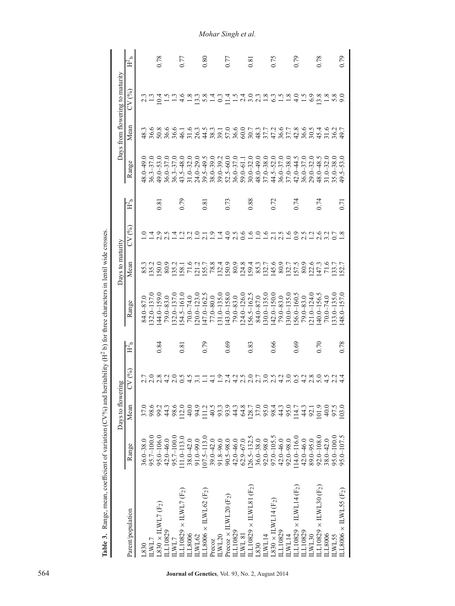|                                                   |                                                                  | Days to flowering                                                                                                                                                                                                               |                                        |                      |                              | Days to maturity |                           |                   |                                                 |      | Days from flowering to maturity                                                                                                                                                                                |                  |
|---------------------------------------------------|------------------------------------------------------------------|---------------------------------------------------------------------------------------------------------------------------------------------------------------------------------------------------------------------------------|----------------------------------------|----------------------|------------------------------|------------------|---------------------------|-------------------|-------------------------------------------------|------|----------------------------------------------------------------------------------------------------------------------------------------------------------------------------------------------------------------|------------------|
| Parent/population                                 | Range                                                            | Mean                                                                                                                                                                                                                            | CV (%)                                 | $H^2_{\phantom{2}b}$ | Range                        | Mean             | CV (%)                    | $H^2_{\  \, b}$   | Range                                           | Mean | CV (%)                                                                                                                                                                                                         | $\mathrm{H}^2$ b |
| $-830$                                            | $36.0 - 38.0$                                                    | 37.0                                                                                                                                                                                                                            |                                        |                      | $84.0 - 87.0$                |                  |                           |                   | $18.0 - 49.0$                                   |      |                                                                                                                                                                                                                |                  |
| LWL7                                              |                                                                  | 98.6                                                                                                                                                                                                                            |                                        |                      | $32.0 - 137.0$               |                  |                           |                   | $36.3 - 37.0$                                   |      |                                                                                                                                                                                                                |                  |
| $.830 \times$ ILWL7 (F <sub>2</sub> )             | $95.7 - 100.0$<br>$95.0 - 106.0$                                 | 23360009<br>238292                                                                                                                                                                                                              |                                        | 0.84                 | 44.0-159.0                   |                  |                           | 0.81              | $49.0 - 53.0$                                   |      |                                                                                                                                                                                                                | 0.78             |
| L10829                                            | 42.0-46.0                                                        |                                                                                                                                                                                                                                 |                                        |                      | $79.0 - 83.0$                |                  |                           |                   | $36.0 - 37.0$                                   |      | $\frac{1}{1}$ .5                                                                                                                                                                                               |                  |
| LWL7                                              | $95.7 - 100.0$                                                   |                                                                                                                                                                                                                                 |                                        |                      | $32.0 - 137.0$               |                  |                           |                   |                                                 |      |                                                                                                                                                                                                                |                  |
| $\pm 10829 \times \text{HWL7 (F2)}$               | $11.0 - 113.0$                                                   |                                                                                                                                                                                                                                 |                                        | $\overline{0.8}$     |                              |                  |                           | 0.79              | $36.3 - 37.0$<br>$43.5 - 48.0$                  |      | $rac{6}{4}$                                                                                                                                                                                                    | 0.77             |
| LL8006                                            |                                                                  |                                                                                                                                                                                                                                 | 4.5                                    |                      | $154.5 - 161.0$<br>70.0-74.0 |                  |                           |                   |                                                 |      | $\frac{8}{1.8}$                                                                                                                                                                                                |                  |
| LWL62                                             | $38.0 - 42.0$<br>91.0-99.0                                       |                                                                                                                                                                                                                                 |                                        |                      | $.20.0 - 123.0$              |                  |                           |                   | $31.0 - 32.0$<br>$24.0 - 29.0$                  |      |                                                                                                                                                                                                                |                  |
| $LL8006 \times ILWL62 (F2)$                       | $.07.5 - 113.0$                                                  |                                                                                                                                                                                                                                 | $\Xi$                                  | 0.79                 | $-162.5$                     |                  | $\frac{1}{2}$ .           | 0.81              | $39.5 - 49.5$<br>$38.0 - 39.0$                  |      | $28404$<br>$-0404$                                                                                                                                                                                             | 0.80             |
| Precoz                                            |                                                                  |                                                                                                                                                                                                                                 |                                        |                      | $77.0 - 80.0$                |                  |                           |                   |                                                 |      |                                                                                                                                                                                                                |                  |
| LWL20                                             |                                                                  |                                                                                                                                                                                                                                 |                                        |                      | $.31.0 - 135.0$              |                  |                           |                   |                                                 |      |                                                                                                                                                                                                                |                  |
| recoz $\times$ ILWL20 (F <sub>2</sub> )           | $39.0 - 42.0$<br>$91.8 - 96.0$<br>$90.5 - 98.0$<br>$42.0 - 46.0$ |                                                                                                                                                                                                                                 |                                        | 0.69                 |                              |                  | 1.4                       | 0.73              | $39.0 - 39.2$<br>$52.5 - 60.0$<br>$36.0 - 37.0$ |      |                                                                                                                                                                                                                | 0.77             |
| L10829                                            |                                                                  |                                                                                                                                                                                                                                 |                                        |                      | $143.0 - 158.0$<br>79.0-83.0 |                  | 2.5                       |                   |                                                 |      | $\frac{15}{10}$                                                                                                                                                                                                |                  |
| <b>IS TM</b>                                      | $62.9 - 67.0$                                                    |                                                                                                                                                                                                                                 |                                        |                      | $24.0 - 126.0$               |                  | 0.6                       |                   | $59.0 - 61.1$                                   |      | $\frac{4}{2}$                                                                                                                                                                                                  |                  |
| $\pm 10829 \times \text{HWL81}$ (F <sub>2</sub> ) | $.26.5 - 132.5$                                                  |                                                                                                                                                                                                                                 |                                        | 0.83                 | $156.5 - 162.5$<br>84.0-87.0 |                  |                           | 0.88              | $30.0 - 32.0$                                   |      |                                                                                                                                                                                                                | 0.81             |
| 830                                               | $36.0 - 38.0$                                                    |                                                                                                                                                                                                                                 |                                        |                      |                              |                  |                           |                   | 48.0-49.0                                       |      |                                                                                                                                                                                                                |                  |
| WLI4                                              | $92.0 - 98.0$                                                    |                                                                                                                                                                                                                                 |                                        |                      | $30.0 - 135.0$               |                  | $rac{6}{11}$ $rac{6}{11}$ |                   | $37.0 - 38.0$<br>44.5-52.0                      |      | $\frac{2.3}{1.8}$                                                                                                                                                                                              |                  |
| $.830 \times$ ILWL14 (F <sub>2</sub> )            | 97.0-105.5                                                       |                                                                                                                                                                                                                                 |                                        | 0.66                 | $(42.0 - 150.0)$             |                  | $2.1$<br>$2.5$<br>$1.6$   | 0.72              |                                                 |      | $\mathcal{C}$                                                                                                                                                                                                  | 0.75             |
| L10829                                            | $42.0 - 46.0$                                                    |                                                                                                                                                                                                                                 |                                        |                      | 79.0-83.0                    |                  |                           |                   | $36.0 - 37.0$                                   |      |                                                                                                                                                                                                                |                  |
| LWL14                                             | $92.0 - 98.0$                                                    |                                                                                                                                                                                                                                 |                                        |                      | $30.0 - 135.0$               |                  |                           |                   | $37.0 - 38.0$<br>42.0 – 44.5                    |      | $\frac{1}{1} \cdot \frac{8}{4}$                                                                                                                                                                                |                  |
| LL10829 $\times$ ILWL14 (F <sub>2</sub> )         | $14.0 - 116.0$                                                   |                                                                                                                                                                                                                                 |                                        | 0.69                 | $56.0 - 160.5$               |                  | 0.9                       | 0.74              |                                                 |      |                                                                                                                                                                                                                | 0.79             |
| L10829                                            | 42.0-46.0                                                        |                                                                                                                                                                                                                                 |                                        |                      | $79.0 - 83.0$                |                  | 2.5                       |                   | $36.0 - 37.0$                                   |      | $\ddot{5}$                                                                                                                                                                                                     |                  |
| LWL30                                             | $89.0 - 95.0$                                                    |                                                                                                                                                                                                                                 |                                        |                      | $.21.0 - 124.0$              |                  |                           |                   | $29.0 - 32.0$                                   |      | 6.9                                                                                                                                                                                                            |                  |
| $\text{L}10829 \times \text{HWL30 (F2)}$          | $92.0 - 108.0$                                                   |                                                                                                                                                                                                                                 |                                        | 0.70                 | $40.0 - 156.5$               |                  |                           | 0.74              | $48.0 - 48.5$                                   |      | 3.8                                                                                                                                                                                                            | 0.78             |
|                                                   | $38.0 - 42.0$                                                    |                                                                                                                                                                                                                                 |                                        |                      | $70.0 - 74.0$                |                  |                           |                   | $31.0 - 32.0$                                   |      | $\frac{8}{1}$                                                                                                                                                                                                  |                  |
|                                                   |                                                                  |                                                                                                                                                                                                                                 |                                        |                      | $33.0 - 135.0$               |                  |                           |                   | $35.0 - 38.0$                                   |      |                                                                                                                                                                                                                |                  |
| LL8006 $\times$ ILWL55 (F <sub>2</sub> )          | $95.0 - 107.5$                                                   | 103.0                                                                                                                                                                                                                           |                                        | 0.78                 | 48.0 - 157.0                 |                  |                           | $\overline{0.71}$ | $49.5 - 53.0$                                   |      | $\overline{6}$                                                                                                                                                                                                 | 0.79             |
| LL8006<br>LWL55                                   | $95.0 - 100.0$                                                   | $\Xi_{0}^{2}$ de 20 de 40 de 20 de 20 de 40 de 21 de 22 de 22 de 22 de 22 de 22 de 22 de 22 de 22 de 22 de 22 de 22 de 22 de 22 de 22 de 22 de 22 de 22 de 22 de 22 de 22 de 22 de 22 de 22 de 22 de 22 de 22 de 22 de 22 de 22 | ーの425070520503805241041500000000000000 |                      |                              |                  |                           |                   |                                                 |      | a vo vo v – v a a a a co c c a c v a c v v a v a t v a c<br>v v o v v d – v a v a c v v o c x c c v a c v d v d v d v – v a c v d v d v d<br>d v o v a d v d v d v a c v a c c c c m c v a c v a v a c v d v d |                  |

Table 3. Range, mean, coefficient of variation ( $CV\%$ ) and heritability ( $H^2$  b) for three characters in lentil wide crosses. **Table 3.** Range, mean, coefficient of variation (CV%) and heritability (H2 b) for three characters in lentil wide crosses.

<span id="page-3-0"></span>564 **Journal of Genetics**, Vol. 93, No. 2, August 2014

*Mohar Singh et al.*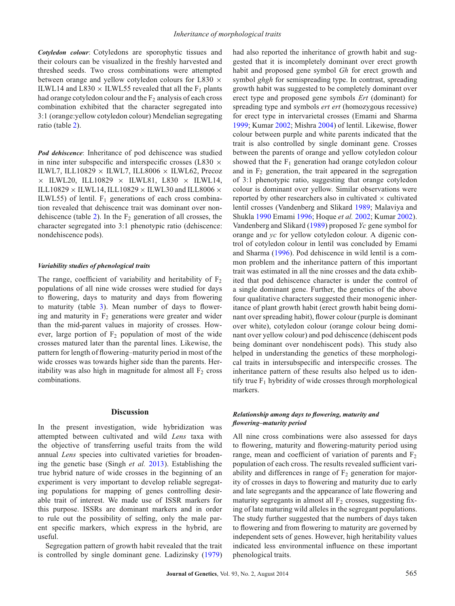*Cotyledon colour*: Cotyledons are sporophytic tissues and their colours can be visualized in the freshly harvested and threshed seeds. Two cross combinations were attempted between orange and yellow cotyledon colours for L830  $\times$ ILWL14 and L830  $\times$  ILWL55 revealed that all the F<sub>1</sub> plants had orange cotyledon colour and the  $F_2$  analysis of each cross combination exhibited that the character segregated into 3:1 (orange:yellow cotyledon colour) Mendelian segregating ratio (table [2\)](#page-2-0).

*Pod dehiscence*: Inheritance of pod dehiscence was studied in nine inter subspecific and interspecific crosses (L830  $\times$ ILWL7, ILL10829  $\times$  ILWL7, ILL8006  $\times$  ILWL62, Precoz  $\times$  ILWL20, ILL10829  $\times$  ILWL81, L830  $\times$  ILWL14, ILL10829  $\times$  ILWL14, ILL10829  $\times$  ILWL30 and ILL8006  $\times$ ILWL55) of lentil.  $F_1$  generations of each cross combination revealed that dehiscence trait was dominant over non-dehiscence (table [2\)](#page-2-0). In the  $F_2$  generation of all crosses, the character segregated into 3:1 phenotypic ratio (dehiscence: nondehiscence pods).

#### *Variability studies of phenological traits*

The range, coefficient of variability and heritability of  $F_2$ populations of all nine wide crosses were studied for days to flowering, days to maturity and days from flowering to maturity (table [3\)](#page-3-0). Mean number of days to flowering and maturity in  $F_2$  generations were greater and wider than the mid-parent values in majority of crosses. However, large portion of  $F_2$  population of most of the wide crosses matured later than the parental lines. Likewise, the pattern for length of flowering–maturity period in most of the wide crosses was towards higher side than the parents. Heritability was also high in magnitude for almost all  $F_2$  cross combinations.

## **Discussion**

In the present investigation, wide hybridization was attempted between cultivated and wild *Lens* taxa with the objective of transferring useful traits from the wild annual *Lens* species into cultivated varieties for broadening the genetic base (Singh *et al.* [2013\)](#page-5-1). Establishing the true hybrid nature of wide crosses in the beginning of an experiment is very important to develop reliable segregating populations for mapping of genes controlling desirable trait of interest. We made use of ISSR markers for this purpose. ISSRs are dominant markers and in order to rule out the possibility of selfing, only the male parent specific markers, which express in the hybrid, are useful.

Segregation pattern of growth habit revealed that the trait is controlled by single dominant gene. Ladizinsky [\(1979\)](#page-5-8) had also reported the inheritance of growth habit and suggested that it is incompletely dominant over erect growth habit and proposed gene symbol *Gh* for erect growth and symbol *ghgh* for semispreading type. In contrast, spreading growth habit was suggested to be completely dominant over erect type and proposed gene symbols *Ert* (dominant) for spreading type and symbols *ert ert* (homozygous recessive) for erect type in intervarietal crosses (Emami and Sharma [1999;](#page-5-9) Kumar [2002;](#page-5-10) Mishra [2004\)](#page-5-11) of lentil. Likewise, flower colour between purple and white parents indicated that the trait is also controlled by single dominant gene. Crosses between the parents of orange and yellow cotyledon colour showed that the  $F_1$  generation had orange cotyledon colour and in  $F_2$  generation, the trait appeared in the segregation of 3:1 phenotypic ratio, suggesting that orange cotyledon colour is dominant over yellow. Similar observations were reported by other researchers also in cultivated  $\times$  cultivated lentil crosses (Vandenberg and Slikard [1989;](#page-5-12) Malaviya and Shukla [1990](#page-5-13) Emami [1996;](#page-5-14) Hoque *et al.* [2002;](#page-5-15) Kumar [2002\)](#page-5-10). Vandenberg and Slikard [\(1989\)](#page-5-12) proposed *Yc* gene symbol for orange and *yc* for yellow cotyledon colour. A digenic control of cotyledon colour in lentil was concluded by Emami and Sharma [\(1996\)](#page-5-16). Pod dehiscence in wild lentil is a common problem and the inheritance pattern of this important trait was estimated in all the nine crosses and the data exhibited that pod dehiscence character is under the control of a single dominant gene. Further, the genetics of the above four qualitative characters suggested their monogenic inheritance of plant growth habit (erect growth habit being dominant over spreading habit), flower colour (purple is dominant over white), cotyledon colour (orange colour being dominant over yellow colour) and pod dehiscence (dehiscent pods being dominant over nondehiscent pods). This study also helped in understanding the genetics of these morphological traits in intersubspecific and interspecific crosses. The inheritance pattern of these results also helped us to identify true  $F_1$  hybridity of wide crosses through morphological markers.

## *Relationship among days to flowering, maturity and flowering–maturity period*

All nine cross combinations were also assessed for days to flowering, maturity and flowering-maturity period using range, mean and coefficient of variation of parents and  $F_2$ population of each cross. The results revealed sufficient variability and differences in range of  $F_2$  generation for majority of crosses in days to flowering and maturity due to early and late segregants and the appearance of late flowering and maturity segregants in almost all  $F<sub>2</sub>$  crosses, suggesting fixing of late maturing wild alleles in the segregant populations. The study further suggested that the numbers of days taken to flowering and from flowering to maturity are governed by independent sets of genes. However, high heritability values indicated less environmental influence on these important phenological traits.